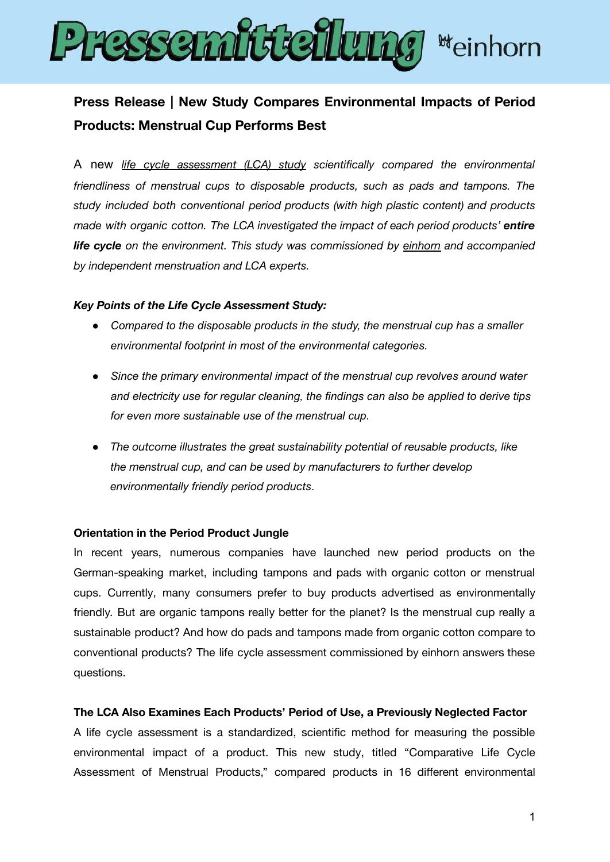

# **Press Release | New Study Compares Environmental Impacts of Period Products: Menstrual Cup Performs Best**

A new *life cycle [assessment](https://einhorn.my/wp-content/uploads/2022/03/Comparative-Life-Cycle-Assessment-of-Menstrual-Products.pdf) (LCA) study scientifically compared the environmental friendliness of menstrual cups to disposable products, such as pads and tampons. The study included both conventional period products (with high plastic content) and products made with organic cotton. The LCA investigated the impact of each period products' entire life cycle on the environment. This study was commissioned by [einhorn](https://einhorn.my/) and accompanied by independent menstruation and LCA experts.*

## *Key Points of the Life Cycle Assessment Study:*

- *● Compared to the disposable products in the study, the menstrual cup has a smaller environmental footprint in most of the environmental categories.*
- *● Since the primary environmental impact of the menstrual cup revolves around water and electricity use for regular cleaning, the findings can also be applied to derive tips for even more sustainable use of the menstrual cup.*
- *● The outcome illustrates the great sustainability potential of reusable products, like the menstrual cup, and can be used by manufacturers to further develop environmentally friendly period products.*

### **Orientation in the Period Product Jungle**

In recent years, numerous companies have launched new period products on the German-speaking market, including tampons and pads with organic cotton or menstrual cups. Currently, many consumers prefer to buy products advertised as environmentally friendly. But are organic tampons really better for the planet? Is the menstrual cup really a sustainable product? And how do pads and tampons made from organic cotton compare to conventional products? The life cycle assessment commissioned by einhorn answers these questions.

## **The LCA Also Examines Each Products' Period of Use, a Previously Neglected Factor**

A life cycle assessment is a standardized, scientific method for measuring the possible environmental impact of a product. This new study, titled "Comparative Life Cycle Assessment of Menstrual Products," compared products in 16 different environmental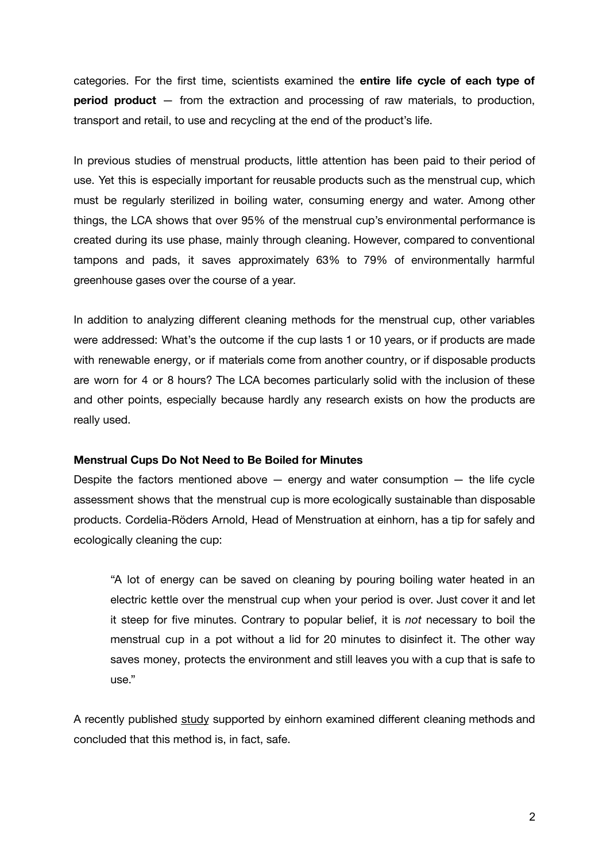categories. For the first time, scientists examined the **entire life cycle of each type of period product** — from the extraction and processing of raw materials, to production, transport and retail, to use and recycling at the end of the product's life.

In previous studies of menstrual products, little attention has been paid to their period of use. Yet this is especially important for reusable products such as the menstrual cup, which must be regularly sterilized in boiling water, consuming energy and water. Among other things, the LCA shows that over 95% of the menstrual cup's environmental performance is created during its use phase, mainly through cleaning. However, compared to conventional tampons and pads, it saves approximately 63% to 79% of environmentally harmful greenhouse gases over the course of a year.

In addition to analyzing different cleaning methods for the menstrual cup, other variables were addressed: What's the outcome if the cup lasts 1 or 10 years, or if products are made with renewable energy, or if materials come from another country, or if disposable products are worn for 4 or 8 hours? The LCA becomes particularly solid with the inclusion of these and other points, especially because hardly any research exists on how the products are really used.

#### **Menstrual Cups Do Not Need to Be Boiled for Minutes**

Despite the factors mentioned above  $-$  energy and water consumption  $-$  the life cycle assessment shows that the menstrual cup is more ecologically sustainable than disposable products. Cordelia-Röders Arnold, Head of Menstruation at einhorn, has a tip for safely and ecologically cleaning the cup:

"A lot of energy can be saved on cleaning by pouring boiling water heated in an electric kettle over the menstrual cup when your period is over. Just cover it and let it steep for five minutes. Contrary to popular belief, it is *not* necessary to boil the menstrual cup in a pot without a lid for 20 minutes to disinfect it. The other way saves money, protects the environment and still leaves you with a cup that is safe to use."

A recently published [study](https://www.mdpi.com/1660-4601/19/3/1450) supported by einhorn examined different cleaning methods and concluded that this method is, in fact, safe.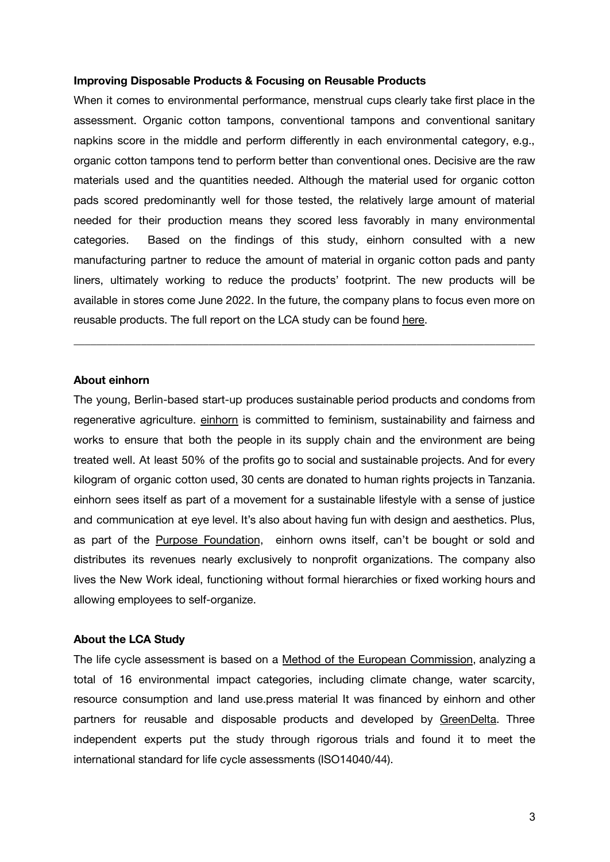#### **Improving Disposable Products & Focusing on Reusable Products**

When it comes to environmental performance, menstrual cups clearly take first place in the assessment. Organic cotton tampons, conventional tampons and conventional sanitary napkins score in the middle and perform differently in each environmental category, e.g., organic cotton tampons tend to perform better than conventional ones. Decisive are the raw materials used and the quantities needed. Although the material used for organic cotton pads scored predominantly well for those tested, the relatively large amount of material needed for their production means they scored less favorably in many environmental categories. Based on the findings of this study, einhorn consulted with a new manufacturing partner to reduce the amount of material in organic cotton pads and panty liners, ultimately working to reduce the products' footprint. The new products will be available in stores come June 2022. In the future, the company plans to focus even more on reusable products. The full report on the LCA study can be found [here.](https://einhorn.my/wp-content/uploads/2022/03/Comparative-Life-Cycle-Assessment-of-Menstrual-Products.pdf)

**\_\_\_\_\_\_\_\_\_\_\_\_\_\_\_\_\_\_\_\_\_\_\_\_\_\_\_\_\_\_\_\_\_\_\_\_\_\_\_\_\_\_\_\_\_\_\_\_\_\_\_\_\_\_\_\_\_\_\_\_\_\_\_\_\_\_\_\_\_\_\_\_\_\_\_\_\_\_\_\_\_\_**

## **About einhorn**

The young, Berlin-based start-up produces sustainable period products and condoms from regenerative agriculture. [einhorn](https://einhorn.my/) is committed to feminism, sustainability and fairness and works to ensure that both the people in its supply chain and the environment are being treated well. At least 50% of the profits go to social and sustainable projects. And for every kilogram of organic cotton used, 30 cents are donated to human rights projects in Tanzania. einhorn sees itself as part of a movement for a sustainable lifestyle with a sense of justice and communication at eye level. It's also about having fun with design and aesthetics. Plus, as part of the Purpose [Foundation](https://purpose-economy.org/en/), einhorn owns itself, can't be bought or sold and distributes its revenues nearly exclusively to nonprofit organizations. The company also lives the New Work ideal, functioning without formal hierarchies or fixed working hours and allowing employees to self-organize.

## **About the LCA Study**

The life cycle assessment is based on a Method of the European [Commission](https://eplca.jrc.ec.europa.eu/EnvironmentalFootprint.html), analyzing a total of 16 environmental impact categories, including climate change, water scarcity, resource consumption and land use.press material It was financed by einhorn and other partners for reusable and disposable products and developed by [GreenDelta](https://www.greendelta.com/). Three independent experts put the study through rigorous trials and found it to meet the international standard for life cycle assessments (ISO14040/44).